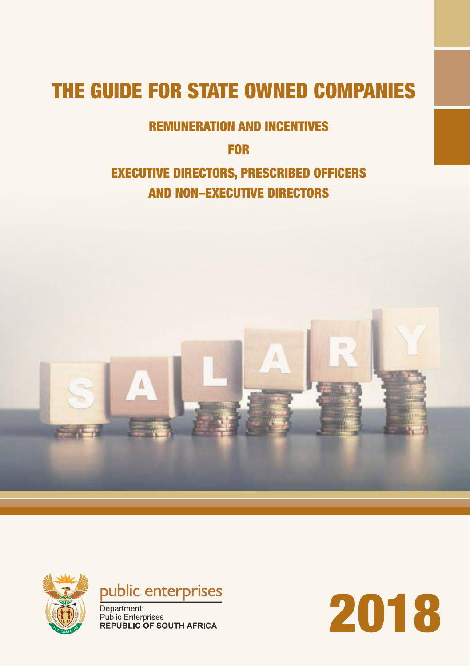## THE GUIDE FOR STATE OWNED COMPANIES

#### REMUNERATION AND INCENTIVES

FOR

### EXECUTIVE DIRECTORS, PRESCRIBED OFFICERS AND NON–EXECUTIVE DIRECTORS







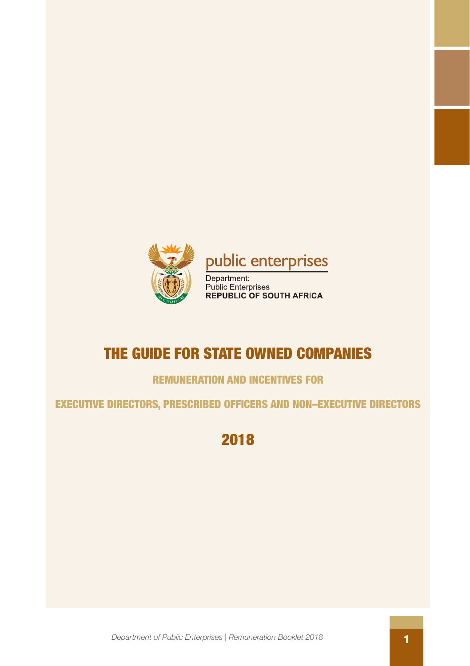

### THE GUIDE FOR STATE OWNED COMPANIES

#### REMUNERATION AND INCENTIVES FOR

EXECUTIVE DIRECTORS, PRESCRIBED OFFICERS AND NON–EXECUTIVE DIRECTORS

2018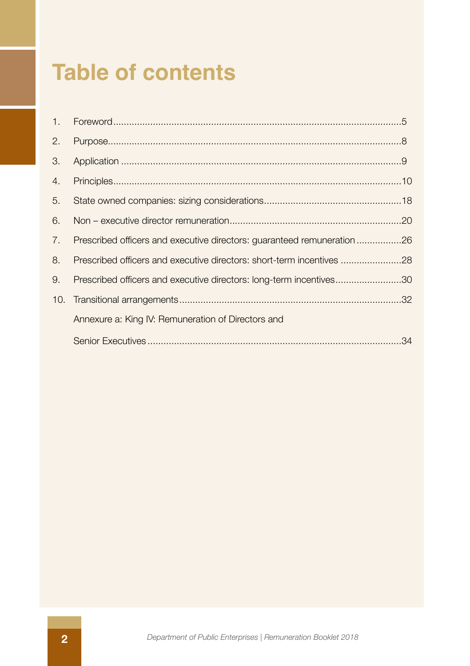# **Table of contents**

| 2.             |                                                                        |  |
|----------------|------------------------------------------------------------------------|--|
| 3.             |                                                                        |  |
| 4.             |                                                                        |  |
| 5.             |                                                                        |  |
| 6.             |                                                                        |  |
| 7 <sub>1</sub> | Prescribed officers and executive directors: guaranteed remuneration26 |  |
| 8.             | Prescribed officers and executive directors: short-term incentives 28  |  |
| 9.             | Prescribed officers and executive directors: long-term incentives30    |  |
| 10.            |                                                                        |  |
|                | Annexure a: King IV: Remuneration of Directors and                     |  |
|                |                                                                        |  |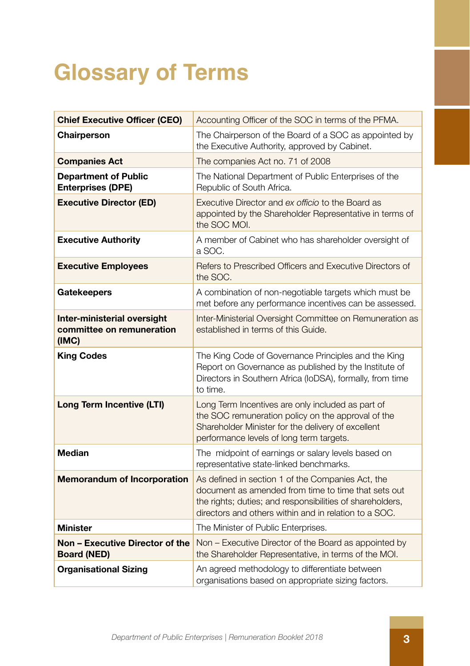# **Glossary of Terms**

| <b>Chief Executive Officer (CEO)</b>                              | Accounting Officer of the SOC in terms of the PFMA.                                                                                                                                                                            |
|-------------------------------------------------------------------|--------------------------------------------------------------------------------------------------------------------------------------------------------------------------------------------------------------------------------|
|                                                                   |                                                                                                                                                                                                                                |
| Chairperson                                                       | The Chairperson of the Board of a SOC as appointed by<br>the Executive Authority, approved by Cabinet.                                                                                                                         |
| <b>Companies Act</b>                                              | The companies Act no. 71 of 2008                                                                                                                                                                                               |
| <b>Department of Public</b><br><b>Enterprises (DPE)</b>           | The National Department of Public Enterprises of the<br>Republic of South Africa.                                                                                                                                              |
| <b>Executive Director (ED)</b>                                    | Executive Director and ex officio to the Board as<br>appointed by the Shareholder Representative in terms of<br>the SOC MOI.                                                                                                   |
| <b>Executive Authority</b>                                        | A member of Cabinet who has shareholder oversight of<br>a SOC.                                                                                                                                                                 |
| <b>Executive Employees</b>                                        | Refers to Prescribed Officers and Executive Directors of<br>the SOC.                                                                                                                                                           |
| Gatekeepers                                                       | A combination of non-negotiable targets which must be<br>met before any performance incentives can be assessed.                                                                                                                |
| Inter-ministerial oversight<br>committee on remuneration<br>(IMC) | Inter-Ministerial Oversight Committee on Remuneration as<br>established in terms of this Guide.                                                                                                                                |
| <b>King Codes</b>                                                 | The King Code of Governance Principles and the King<br>Report on Governance as published by the Institute of<br>Directors in Southern Africa (IoDSA), formally, from time<br>to time.                                          |
| Long Term Incentive (LTI)                                         | Long Term Incentives are only included as part of<br>the SOC remuneration policy on the approval of the<br>Shareholder Minister for the delivery of excellent<br>performance levels of long term targets.                      |
| Median                                                            | The midpoint of earnings or salary levels based on<br>representative state-linked benchmarks.                                                                                                                                  |
| <b>Memorandum of Incorporation</b>                                | As defined in section 1 of the Companies Act, the<br>document as amended from time to time that sets out<br>the rights; duties; and responsibilities of shareholders,<br>directors and others within and in relation to a SOC. |
| <b>Minister</b>                                                   | The Minister of Public Enterprises.                                                                                                                                                                                            |
| Non - Executive Director of the<br><b>Board (NED)</b>             | Non - Executive Director of the Board as appointed by<br>the Shareholder Representative, in terms of the MOI.                                                                                                                  |
| <b>Organisational Sizing</b>                                      | An agreed methodology to differentiate between<br>organisations based on appropriate sizing factors.                                                                                                                           |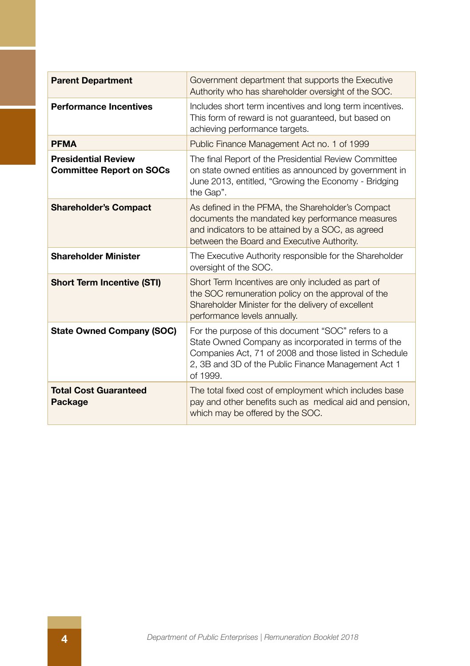| <b>Parent Department</b>                                      | Government department that supports the Executive<br>Authority who has shareholder oversight of the SOC.                                                                                                                               |
|---------------------------------------------------------------|----------------------------------------------------------------------------------------------------------------------------------------------------------------------------------------------------------------------------------------|
| <b>Performance Incentives</b>                                 | Includes short term incentives and long term incentives.<br>This form of reward is not quaranteed, but based on<br>achieving performance targets.                                                                                      |
| <b>PFMA</b>                                                   | Public Finance Management Act no. 1 of 1999                                                                                                                                                                                            |
| <b>Presidential Review</b><br><b>Committee Report on SOCs</b> | The final Report of the Presidential Review Committee<br>on state owned entities as announced by government in<br>June 2013, entitled, "Growing the Economy - Bridging<br>the Gap".                                                    |
| <b>Shareholder's Compact</b>                                  | As defined in the PFMA, the Shareholder's Compact<br>documents the mandated key performance measures<br>and indicators to be attained by a SOC, as agreed<br>between the Board and Executive Authority.                                |
| <b>Shareholder Minister</b>                                   | The Executive Authority responsible for the Shareholder<br>oversight of the SOC.                                                                                                                                                       |
| <b>Short Term Incentive (STI)</b>                             | Short Term Incentives are only included as part of<br>the SOC remuneration policy on the approval of the<br>Shareholder Minister for the delivery of excellent<br>performance levels annually.                                         |
| <b>State Owned Company (SOC)</b>                              | For the purpose of this document "SOC" refers to a<br>State Owned Company as incorporated in terms of the<br>Companies Act, 71 of 2008 and those listed in Schedule<br>2, 3B and 3D of the Public Finance Management Act 1<br>of 1999. |
| <b>Total Cost Guaranteed</b><br>Package                       | The total fixed cost of employment which includes base<br>pay and other benefits such as medical aid and pension,<br>which may be offered by the SOC.                                                                                  |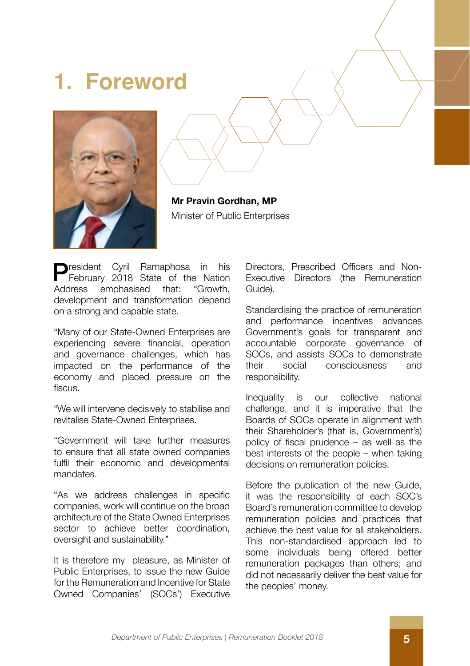## **1. Foreword**



**Mr Pravin Gordhan, MP**  Minister of Public Enterprises

**P**resident Cyril Ramaphosa in his<br>February 2018 State of the Nation<br>Address emphasised that: "Growth, February 2018 State of the Nation emphasised development and transformation depend on a strong and capable state.

"Many of our State-Owned Enterprises are experiencing severe financial, operation and governance challenges, which has impacted on the performance of the economy and placed pressure on the fiscus.

"We will intervene decisively to stabilise and revitalise State-Owned Enterprises.

"Government will take further measures to ensure that all state owned companies fulfil their economic and developmental mandates.

"As we address challenges in specific companies, work will continue on the broad architecture of the State Owned Enterprises sector to achieve better coordination, oversight and sustainability."

It is therefore my pleasure, as Minister of Public Enterprises, to issue the new Guide for the Remuneration and Incentive for State Owned Companies' (SOCs') Executive Directors, Prescribed Officers and Non-Executive Directors (the Remuneration Guide).

Standardising the practice of remuneration and performance incentives advances Government's goals for transparent and accountable corporate governance of SOCs, and assists SOCs to demonstrate their social consciousness and responsibility.

Inequality is our collective national challenge, and it is imperative that the Boards of SOCs operate in alignment with their Shareholder's (that is, Government's) policy of fiscal prudence – as well as the best interests of the people – when taking decisions on remuneration policies.

Before the publication of the new Guide, it was the responsibility of each SOC's Board's remuneration committee to develop remuneration policies and practices that achieve the best value for all stakeholders. This non-standardised approach led to some individuals being offered better remuneration packages than others; and did not necessarily deliver the best value for the peoples' money.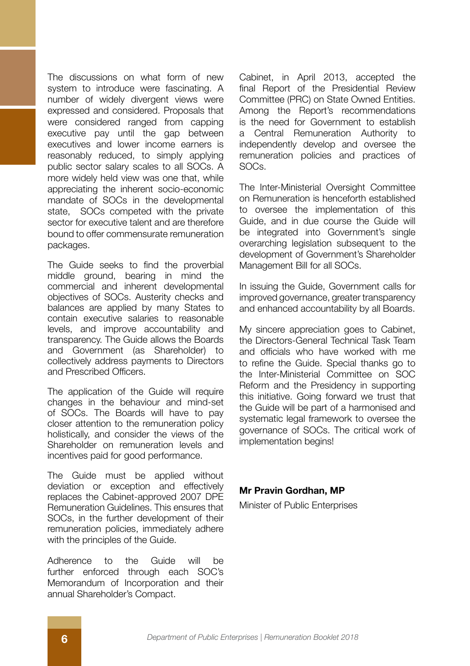The discussions on what form of new system to introduce were fascinating. A number of widely divergent views were expressed and considered. Proposals that were considered ranged from capping executive pay until the gap between executives and lower income earners is reasonably reduced, to simply applying public sector salary scales to all SOCs. A more widely held view was one that, while appreciating the inherent socio-economic mandate of SOCs in the developmental state, SOCs competed with the private sector for executive talent and are therefore bound to offer commensurate remuneration packages.

The Guide seeks to find the proverbial middle ground, bearing in mind the commercial and inherent developmental objectives of SOCs. Austerity checks and balances are applied by many States to contain executive salaries to reasonable levels, and improve accountability and transparency. The Guide allows the Boards and Government (as Shareholder) to collectively address payments to Directors and Prescribed Officers.

The application of the Guide will require changes in the behaviour and mind-set of SOCs. The Boards will have to pay closer attention to the remuneration policy holistically, and consider the views of the Shareholder on remuneration levels and incentives paid for good performance.

The Guide must be applied without deviation or exception and effectively replaces the Cabinet-approved 2007 DPE Remuneration Guidelines. This ensures that SOCs, in the further development of their remuneration policies, immediately adhere with the principles of the Guide.

Adherence to the Guide will be further enforced through each SOC's Memorandum of Incorporation and their annual Shareholder's Compact.

Cabinet, in April 2013, accepted the final Report of the Presidential Review Committee (PRC) on State Owned Entities. Among the Report's recommendations is the need for Government to establish a Central Remuneration Authority to independently develop and oversee the remuneration policies and practices of SOCs.

The Inter-Ministerial Oversight Committee on Remuneration is henceforth established to oversee the implementation of this Guide, and in due course the Guide will be integrated into Government's single overarching legislation subsequent to the development of Government's Shareholder Management Bill for all SOCs.

In issuing the Guide, Government calls for improved governance, greater transparency and enhanced accountability by all Boards.

My sincere appreciation goes to Cabinet, the Directors-General Technical Task Team and officials who have worked with me to refine the Guide. Special thanks go to the Inter-Ministerial Committee on SOC Reform and the Presidency in supporting this initiative. Going forward we trust that the Guide will be part of a harmonised and systematic legal framework to oversee the governance of SOCs. The critical work of implementation begins!

#### **Mr Pravin Gordhan, MP**

Minister of Public Enterprises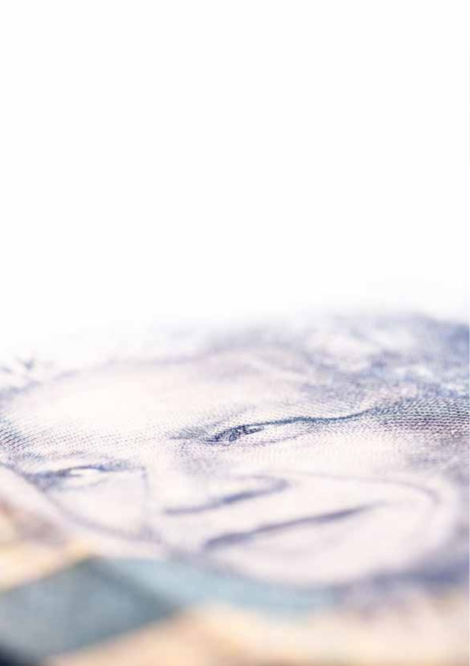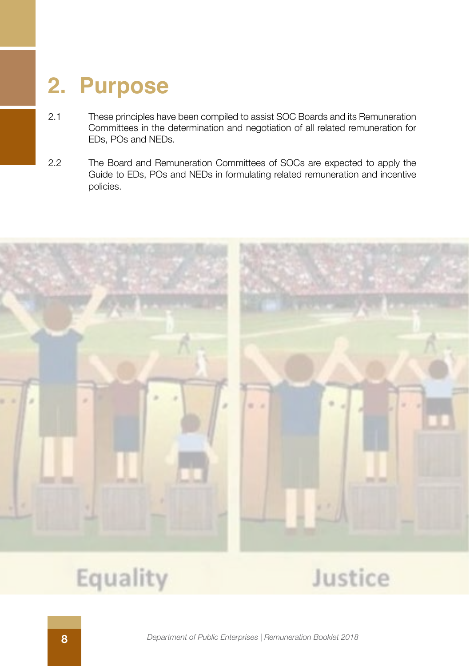# **2. Purpose**

- 2.1 These principles have been compiled to assist SOC Boards and its Remuneration Committees in the determination and negotiation of all related remuneration for EDs, POs and NEDs.
- 2.2 The Board and Remuneration Committees of SOCs are expected to apply the Guide to EDs, POs and NEDs in formulating related remuneration and incentive policies.



# Equality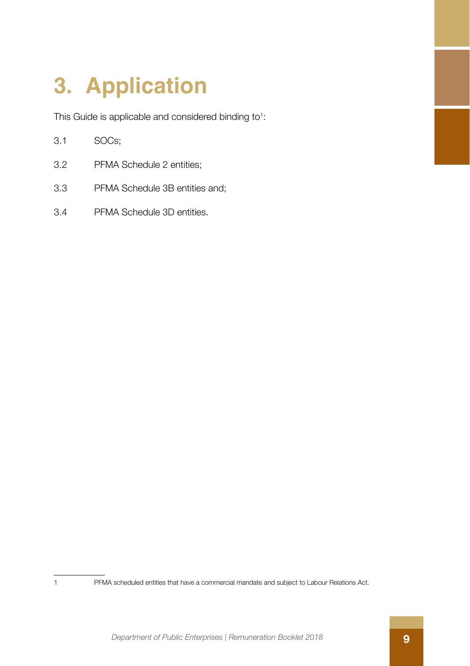# **3. Application**

This Guide is applicable and considered binding to $^{\rm !}$ :

| 3.1 | SOC <sub>s</sub> :             |
|-----|--------------------------------|
| 3.2 | PFMA Schedule 2 entities;      |
| 3.3 | PFMA Schedule 3B entities and: |

3.4 PFMA Schedule 3D entities.

<sup>1</sup> PFMA scheduled entities that have a commercial mandate and subject to Labour Relations Act.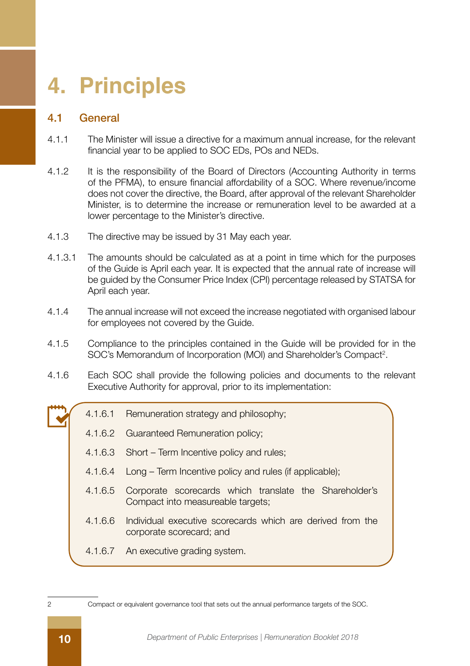# **4. Principles**

#### 4.1 General

- 4.1.1 The Minister will issue a directive for a maximum annual increase, for the relevant financial year to be applied to SOC EDs, POs and NEDs.
- 4.1.2 It is the responsibility of the Board of Directors (Accounting Authority in terms of the PFMA), to ensure financial affordability of a SOC. Where revenue/income does not cover the directive, the Board, after approval of the relevant Shareholder Minister, is to determine the increase or remuneration level to be awarded at a lower percentage to the Minister's directive.
- 4.1.3 The directive may be issued by 31 May each year.
- 4.1.3.1 The amounts should be calculated as at a point in time which for the purposes of the Guide is April each year. It is expected that the annual rate of increase will be guided by the Consumer Price Index (CPI) percentage released by STATSA for April each year.
- 4.1.4 The annual increase will not exceed the increase negotiated with organised labour for employees not covered by the Guide.
- 4.1.5 Compliance to the principles contained in the Guide will be provided for in the SOC's Memorandum of Incorporation (MOI) and Shareholder's Compact<sup>2</sup>.
- 4.1.6 Each SOC shall provide the following policies and documents to the relevant Executive Authority for approval, prior to its implementation:
	- 4.1.6.1 Remuneration strategy and philosophy;
		- 4.1.6.2 Guaranteed Remuneration policy;
		- 4.1.6.3 Short Term Incentive policy and rules;
		- 4.1.6.4 Long Term Incentive policy and rules (if applicable);
		- 4.1.6.5 Corporate scorecards which translate the Shareholder's Compact into measureable targets:
		- 4.1.6.6 Individual executive scorecards which are derived from the corporate scorecard; and
		- 4.1.6.7 An executive grading system.

<sup>2</sup>  Compact or equivalent governance tool that sets out the annual performance targets of the SOC.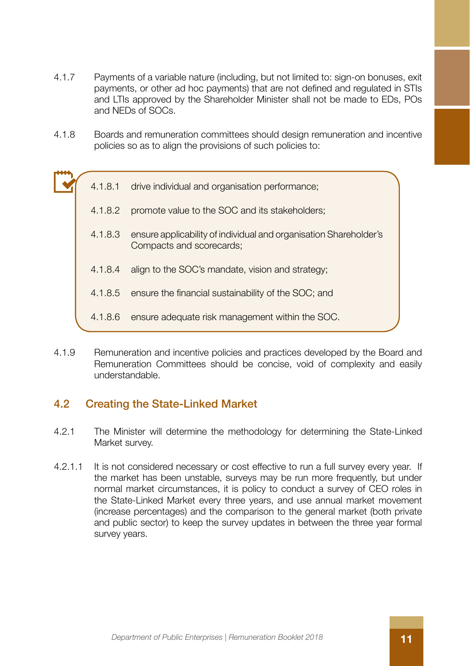- 4.1.7 Payments of a variable nature (including, but not limited to: sign-on bonuses, exit payments, or other ad hoc payments) that are not defined and regulated in STIs and LTIs approved by the Shareholder Minister shall not be made to EDs, POs and NEDs of SOCs.
- 4.1.8 Boards and remuneration committees should design remuneration and incentive policies so as to align the provisions of such policies to:

4.1.8.1 drive individual and organisation performance; 4.1.8.2 promote value to the SOC and its stakeholders; 4.1.8.3 ensure applicability of individual and organisation Shareholder's Compacts and scorecards; 4.1.8.4 align to the SOC's mandate, vision and strategy; 4.1.8.5 ensure the financial sustainability of the SOC; and 4.1.8.6 ensure adequate risk management within the SOC.

4.1.9 Remuneration and incentive policies and practices developed by the Board and Remuneration Committees should be concise, void of complexity and easily understandable.

#### 4.2 Creating the State-Linked Market

- 4.2.1 The Minister will determine the methodology for determining the State-Linked Market survey.
- 4.2.1.1 It is not considered necessary or cost effective to run a full survey every year. If the market has been unstable, surveys may be run more frequently, but under normal market circumstances, it is policy to conduct a survey of CEO roles in the State-Linked Market every three years, and use annual market movement (increase percentages) and the comparison to the general market (both private and public sector) to keep the survey updates in between the three year formal survey years.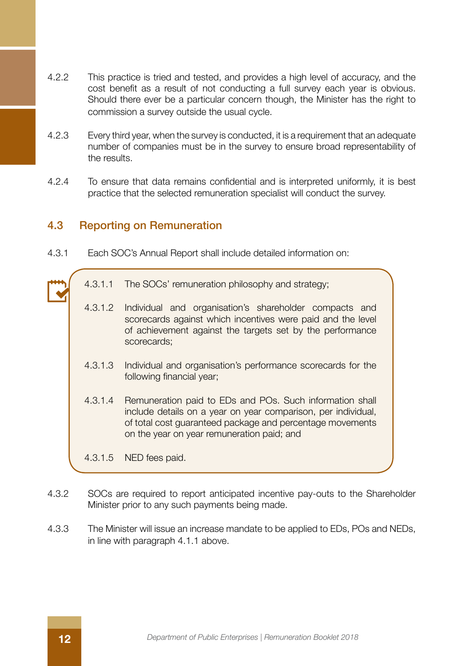- 4.2.2 This practice is tried and tested, and provides a high level of accuracy, and the cost benefit as a result of not conducting a full survey each year is obvious. Should there ever be a particular concern though, the Minister has the right to commission a survey outside the usual cycle.
- 4.2.3 Every third year, when the survey is conducted, it is a requirement that an adequate number of companies must be in the survey to ensure broad representability of the results.
- 4.2.4 To ensure that data remains confidential and is interpreted uniformly, it is best practice that the selected remuneration specialist will conduct the survey.

#### 4.3 Reporting on Remuneration

4.3.1 Each SOC's Annual Report shall include detailed information on:

4.3.1.1 The SOCs' remuneration philosophy and strategy;

- 4.3.1.2 Individual and organisation's shareholder compacts and scorecards against which incentives were paid and the level of achievement against the targets set by the performance scorecards;
- 4.3.1.3 Individual and organisation's performance scorecards for the following financial year;
- 4.3.1.4 Remuneration paid to EDs and POs. Such information shall include details on a year on year comparison, per individual, of total cost guaranteed package and percentage movements on the year on year remuneration paid; and

4.3.1.5 NED fees paid.

- 4.3.2 SOCs are required to report anticipated incentive pay-outs to the Shareholder Minister prior to any such payments being made.
- 4.3.3 The Minister will issue an increase mandate to be applied to EDs, POs and NEDs, in line with paragraph 4.1.1 above.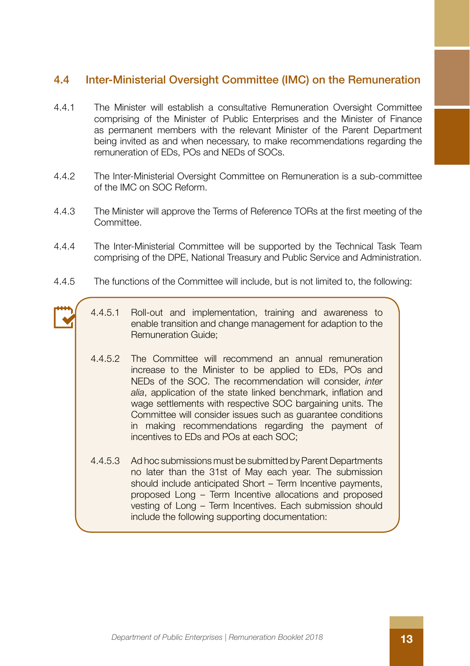#### 4.4 Inter-Ministerial Oversight Committee (IMC) on the Remuneration

- 4.4.1 The Minister will establish a consultative Remuneration Oversight Committee comprising of the Minister of Public Enterprises and the Minister of Finance as permanent members with the relevant Minister of the Parent Department being invited as and when necessary, to make recommendations regarding the remuneration of EDs, POs and NEDs of SOCs.
- 4.4.2 The Inter-Ministerial Oversight Committee on Remuneration is a sub-committee of the IMC on SOC Reform.
- 4.4.3 The Minister will approve the Terms of Reference TORs at the first meeting of the **Committee.**
- 4.4.4 The Inter-Ministerial Committee will be supported by the Technical Task Team comprising of the DPE, National Treasury and Public Service and Administration.
- 4.4.5 The functions of the Committee will include, but is not limited to, the following:

4.4.5.1 Roll-out and implementation, training and awareness to enable transition and change management for adaption to the Remuneration Guide;

- 4.4.5.2 The Committee will recommend an annual remuneration increase to the Minister to be applied to EDs, POs and NEDs of the SOC. The recommendation will consider, *inter alia*, application of the state linked benchmark, inflation and wage settlements with respective SOC bargaining units. The Committee will consider issues such as guarantee conditions in making recommendations regarding the payment of incentives to EDs and POs at each SOC;
- 4.4.5.3 Ad hoc submissions must be submitted by Parent Departments no later than the 31st of May each year. The submission should include anticipated Short – Term Incentive payments, proposed Long – Term Incentive allocations and proposed vesting of Long – Term Incentives. Each submission should include the following supporting documentation: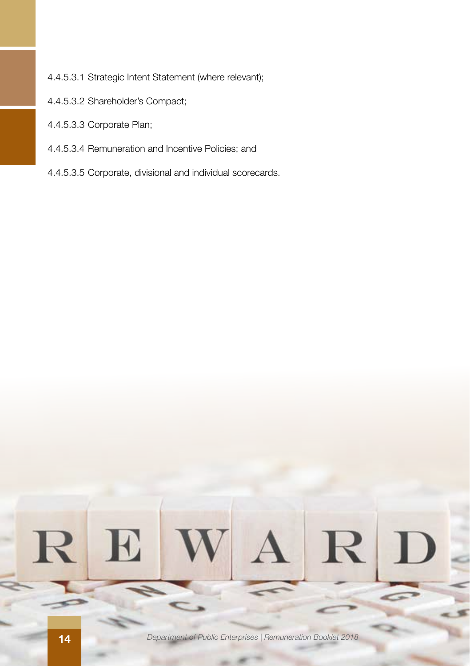4.4.5.3.1 Strategic Intent Statement (where relevant);

- 4.4.5.3.2 Shareholder's Compact;
- 4.4.5.3.3 Corporate Plan;
- 4.4.5.3.4 Remuneration and Incentive Policies; and
- 4.4.5.3.5 Corporate, divisional and individual scorecards.

 $\mathbb{R}$ 

R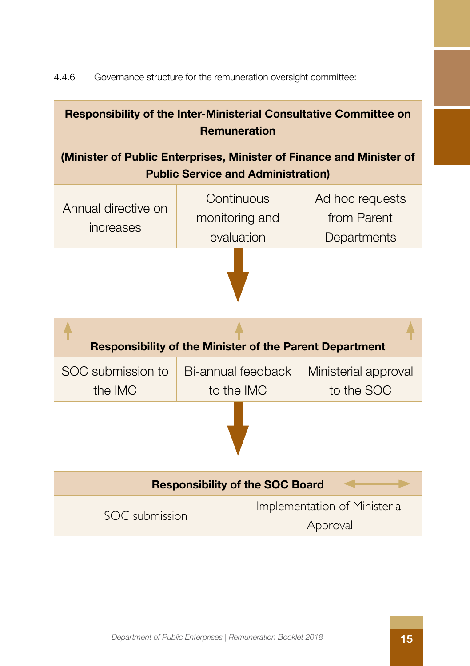4.4.6 Governance structure for the remuneration oversight committee:

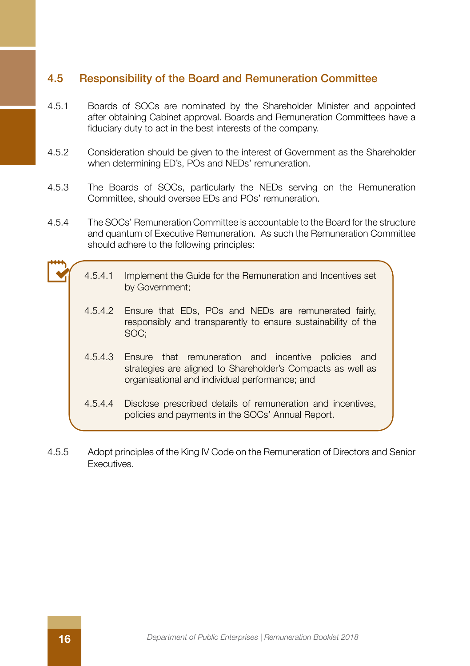#### 4.5 Responsibility of the Board and Remuneration Committee

- 4.5.1 Boards of SOCs are nominated by the Shareholder Minister and appointed after obtaining Cabinet approval. Boards and Remuneration Committees have a fiduciary duty to act in the best interests of the company.
- 4.5.2 Consideration should be given to the interest of Government as the Shareholder when determining ED's, POs and NEDs' remuneration.
- 4.5.3 The Boards of SOCs, particularly the NEDs serving on the Remuneration Committee, should oversee EDs and POs' remuneration.
- 4.5.4 The SOCs' Remuneration Committee is accountable to the Board for the structure and quantum of Executive Remuneration. As such the Remuneration Committee should adhere to the following principles:
	- 4.5.4.1 Implement the Guide for the Remuneration and Incentives set by Government;
		- 4.5.4.2 Ensure that EDs, POs and NEDs are remunerated fairly, responsibly and transparently to ensure sustainability of the SOC;
		- 4.5.4.3 Ensure that remuneration and incentive policies and strategies are aligned to Shareholder's Compacts as well as organisational and individual performance; and
		- 4.5.4.4 Disclose prescribed details of remuneration and incentives, policies and payments in the SOCs' Annual Report.
- 4.5.5 Adopt principles of the King IV Code on the Remuneration of Directors and Senior Executives.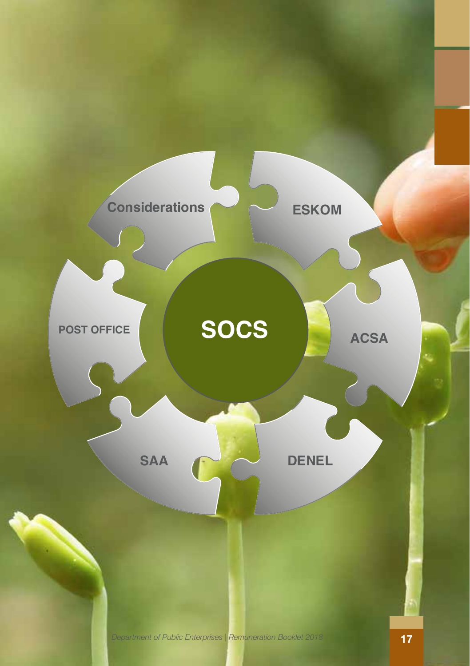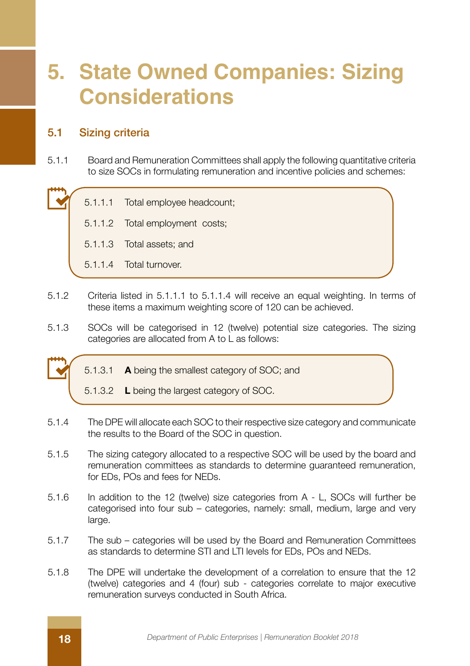## **5. State Owned Companies: Sizing Considerations**

#### 5.1 Sizing criteria

5.1.1 Board and Remuneration Committees shall apply the following quantitative criteria to size SOCs in formulating remuneration and incentive policies and schemes:

5.1.1.1 Total employee headcount; 5.1.1.2 Total employment costs; 5.1.1.3 Total assets; and 5.1.1.4 Total turnover.

- 5.1.2 Criteria listed in 5.1.1.1 to 5.1.1.4 will receive an equal weighting. In terms of these items a maximum weighting score of 120 can be achieved.
- 5.1.3 SOCs will be categorised in 12 (twelve) potential size categories. The sizing categories are allocated from A to L as follows:
	- 5.1.3.1 **A** being the smallest category of SOC; and

5.1.3.2 **L** being the largest category of SOC.

- 5.1.4 The DPE will allocate each SOC to their respective size category and communicate the results to the Board of the SOC in question.
- 5.1.5 The sizing category allocated to a respective SOC will be used by the board and remuneration committees as standards to determine guaranteed remuneration, for EDs, POs and fees for NEDs.
- 5.1.6 In addition to the 12 (twelve) size categories from A L, SOCs will further be categorised into four sub – categories, namely: small, medium, large and very large.
- 5.1.7 The sub categories will be used by the Board and Remuneration Committees as standards to determine STI and LTI levels for EDs, POs and NEDs.
- 5.1.8 The DPE will undertake the development of a correlation to ensure that the 12 (twelve) categories and 4 (four) sub - categories correlate to major executive remuneration surveys conducted in South Africa.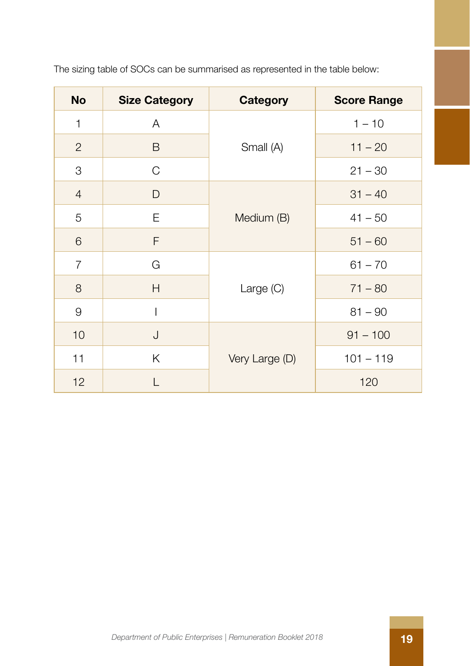| <b>No</b>      | <b>Size Category</b> | <b>Category</b> | <b>Score Range</b> |
|----------------|----------------------|-----------------|--------------------|
| 1              | Α                    |                 | $1 - 10$           |
| $\overline{2}$ | B                    | Small (A)       | $11 - 20$          |
| 3              | $\mathsf{C}$         |                 | $21 - 30$          |
| $\overline{4}$ | D                    |                 | $31 - 40$          |
| 5              | Ε                    | Medium (B)      | $41 - 50$          |
| 6              | F                    |                 | $51 - 60$          |
| $\overline{7}$ | G                    |                 | $61 - 70$          |
| 8              | H                    | Large (C)       | $71 - 80$          |
| 9              |                      |                 | $81 - 90$          |
| 10             | J                    |                 | $91 - 100$         |
| 11             | Κ                    | Very Large (D)  | $101 - 119$        |
| 12             |                      |                 | 120                |

The sizing table of SOCs can be summarised as represented in the table below: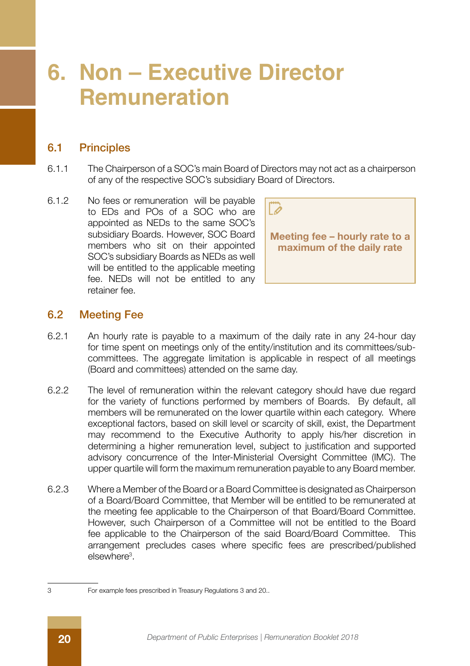## **6. Non – Executive Director Remuneration**

#### 6.1 Principles

- 6.1.1 The Chairperson of a SOC's main Board of Directors may not act as a chairperson of any of the respective SOC's subsidiary Board of Directors.
- 6.1.2 No fees or remuneration will be payable to EDs and POs of a SOC who are appointed as NEDs to the same SOC's subsidiary Boards. However, SOC Board members who sit on their appointed SOC's subsidiary Boards as NEDs as well will be entitled to the applicable meeting fee. NEDs will not be entitled to any retainer fee.



#### 6.2 Meeting Fee

- 6.2.1 An hourly rate is payable to a maximum of the daily rate in any 24-hour day for time spent on meetings only of the entity/institution and its committees/subcommittees. The aggregate limitation is applicable in respect of all meetings (Board and committees) attended on the same day.
- 6.2.2 The level of remuneration within the relevant category should have due regard for the variety of functions performed by members of Boards. By default, all members will be remunerated on the lower quartile within each category. Where exceptional factors, based on skill level or scarcity of skill, exist, the Department may recommend to the Executive Authority to apply his/her discretion in determining a higher remuneration level, subject to justification and supported advisory concurrence of the Inter-Ministerial Oversight Committee (IMC). The upper quartile will form the maximum remuneration payable to any Board member.
- 6.2.3 Where a Member of the Board or a Board Committee is designated as Chairperson of a Board/Board Committee, that Member will be entitled to be remunerated at the meeting fee applicable to the Chairperson of that Board/Board Committee. However, such Chairperson of a Committee will not be entitled to the Board fee applicable to the Chairperson of the said Board/Board Committee. This arrangement precludes cases where specific fees are prescribed/published elsewhere<sup>3</sup>.

<sup>3</sup>  For example fees prescribed in Treasury Regulations 3 and 20..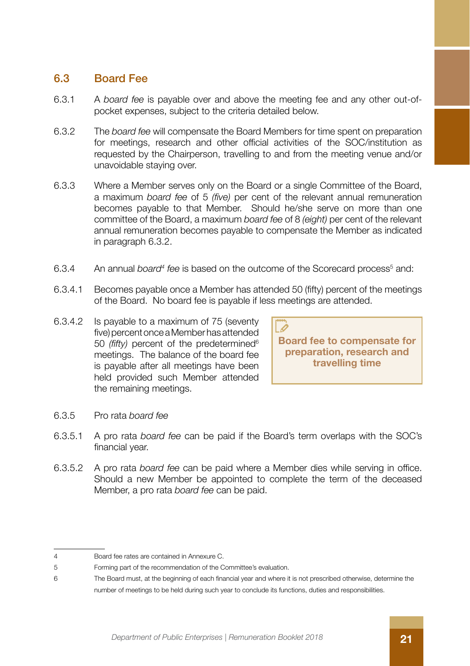#### 6.3 Board Fee

- 6.3.1 A *board fee* is payable over and above the meeting fee and any other out-ofpocket expenses, subject to the criteria detailed below.
- 6.3.2 The *board fee* will compensate the Board Members for time spent on preparation for meetings, research and other official activities of the SOC/institution as requested by the Chairperson, travelling to and from the meeting venue and/or unavoidable staying over.
- 6.3.3 Where a Member serves only on the Board or a single Committee of the Board, a maximum *board fee* of 5 *(five)* per cent of the relevant annual remuneration becomes payable to that Member. Should he/she serve on more than one committee of the Board, a maximum *board fee* of 8 *(eight)* per cent of the relevant annual remuneration becomes payable to compensate the Member as indicated in paragraph 6.3.2.
- 6.3.4 An annual *board<sup>4</sup>* fee is based on the outcome of the Scorecard process<sup>5</sup> and:
- 6.3.4.1 Becomes payable once a Member has attended 50 (fifty) percent of the meetings of the Board. No board fee is payable if less meetings are attended.
- 6.3.4.2 Is payable to a maximum of 75 (seventy five) percent once a Member has attended 50 *(fifty)* percent of the predetermined<sup>6</sup> meetings. The balance of the board fee is payable after all meetings have been held provided such Member attended the remaining meetings.

 $\dot{\mathscr{O}}$ **Board fee to compensate for preparation, research and travelling time**

- 6.3.5 Pro rata *board fee*
- 6.3.5.1 A pro rata *board fee* can be paid if the Board's term overlaps with the SOC's financial year.
- 6.3.5.2 A pro rata *board fee* can be paid where a Member dies while serving in office. Should a new Member be appointed to complete the term of the deceased Member, a pro rata *board fee* can be paid.

<sup>4</sup>  Board fee rates are contained in Annexure C.

<sup>5</sup>  Forming part of the recommendation of the Committee's evaluation.

<sup>6</sup>  The Board must, at the beginning of each financial year and where it is not prescribed otherwise, determine the number of meetings to be held during such year to conclude its functions, duties and responsibilities.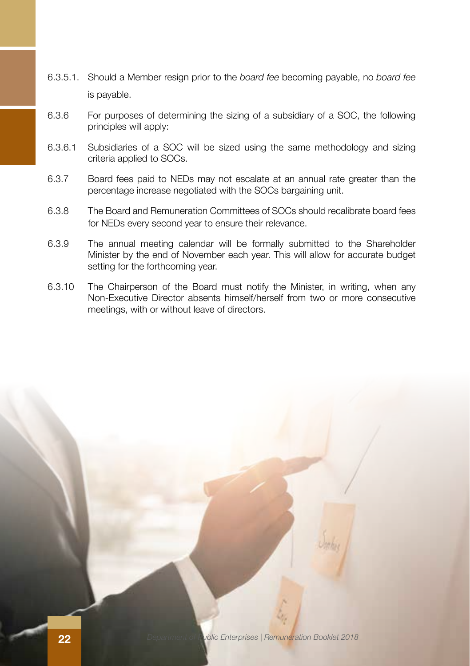- 6.3.5.1. Should a Member resign prior to the *board fee* becoming payable, no *board fee* is payable.
- 6.3.6 For purposes of determining the sizing of a subsidiary of a SOC, the following principles will apply:
- 6.3.6.1 Subsidiaries of a SOC will be sized using the same methodology and sizing criteria applied to SOCs.
- 6.3.7 Board fees paid to NEDs may not escalate at an annual rate greater than the percentage increase negotiated with the SOCs bargaining unit.
- 6.3.8 The Board and Remuneration Committees of SOCs should recalibrate board fees for NEDs every second year to ensure their relevance.
- 6.3.9 The annual meeting calendar will be formally submitted to the Shareholder Minister by the end of November each year. This will allow for accurate budget setting for the forthcoming year.
- 6.3.10 The Chairperson of the Board must notify the Minister, in writing, when any Non-Executive Director absents himself/herself from two or more consecutive meetings, with or without leave of directors.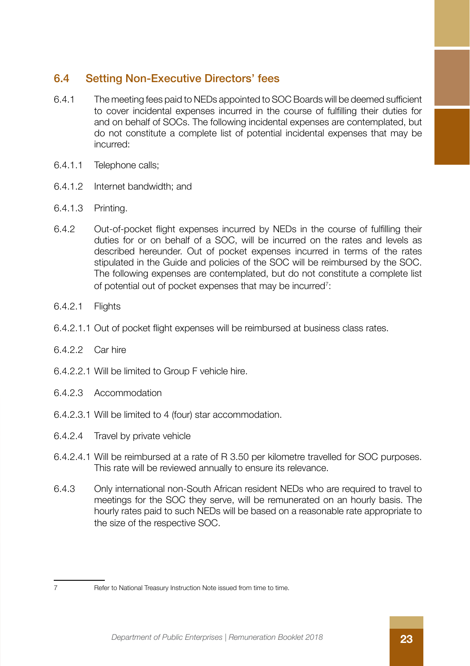#### 6.4 Setting Non-Executive Directors' fees

- 6.4.1 The meeting fees paid to NEDs appointed to SOC Boards will be deemed sufficient to cover incidental expenses incurred in the course of fulfilling their duties for and on behalf of SOCs. The following incidental expenses are contemplated, but do not constitute a complete list of potential incidental expenses that may be incurred:
- 6.4.1.1 Telephone calls;
- 6.4.1.2 Internet bandwidth; and
- 6.4.1.3 Printing.
- 6.4.2 Out-of-pocket flight expenses incurred by NEDs in the course of fulfilling their duties for or on behalf of a SOC, will be incurred on the rates and levels as described hereunder. Out of pocket expenses incurred in terms of the rates stipulated in the Guide and policies of the SOC will be reimbursed by the SOC. The following expenses are contemplated, but do not constitute a complete list of potential out of pocket expenses that may be incurred<sup>7</sup>:
- 6.4.2.1 Flights
- 6.4.2.1.1 Out of pocket flight expenses will be reimbursed at business class rates.
- 6.4.2.2 Car hire
- 6.4.2.2.1 Will be limited to Group F vehicle hire.
- 6.4.2.3 Accommodation
- 6.4.2.3.1 Will be limited to 4 (four) star accommodation.
- 6.4.2.4 Travel by private vehicle
- 6.4.2.4.1 Will be reimbursed at a rate of R 3.50 per kilometre travelled for SOC purposes. This rate will be reviewed annually to ensure its relevance.
- 6.4.3 Only international non-South African resident NEDs who are required to travel to meetings for the SOC they serve, will be remunerated on an hourly basis. The hourly rates paid to such NEDs will be based on a reasonable rate appropriate to the size of the respective SOC.

<sup>7</sup> Refer to National Treasury Instruction Note issued from time to time.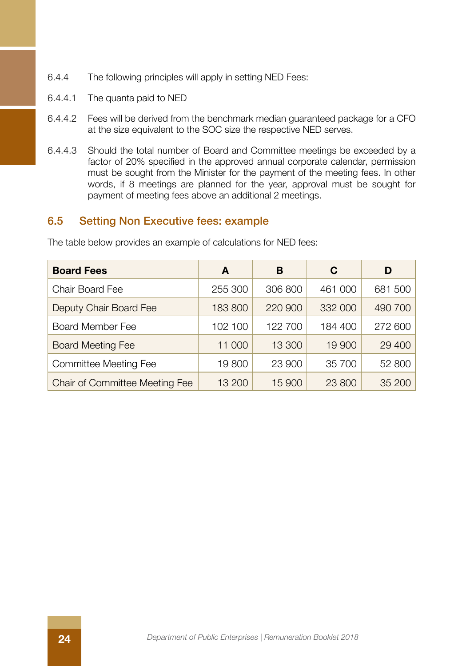- 6.4.4 The following principles will apply in setting NED Fees:
- 6.4.4.1 The quanta paid to NED
- 6.4.4.2 Fees will be derived from the benchmark median guaranteed package for a CFO at the size equivalent to the SOC size the respective NED serves.
- 6.4.4.3 Should the total number of Board and Committee meetings be exceeded by a factor of 20% specified in the approved annual corporate calendar, permission must be sought from the Minister for the payment of the meeting fees. In other words, if 8 meetings are planned for the year, approval must be sought for payment of meeting fees above an additional 2 meetings.

#### 6.5 Setting Non Executive fees: example

| <b>Board Fees</b>              | A       | в       | C       | D       |
|--------------------------------|---------|---------|---------|---------|
| Chair Board Fee                | 255 300 | 306 800 | 461 000 | 681 500 |
| Deputy Chair Board Fee         | 183800  | 220 900 | 332 000 | 490 700 |
| Board Member Fee               | 102 100 | 122 700 | 184 400 | 272 600 |
| <b>Board Meeting Fee</b>       | 11 000  | 13 300  | 19 900  | 29 400  |
| <b>Committee Meeting Fee</b>   | 19 800  | 23 900  | 35 700  | 52 800  |
| Chair of Committee Meeting Fee | 13 200  | 15 900  | 23 800  | 35 200  |

The table below provides an example of calculations for NED fees: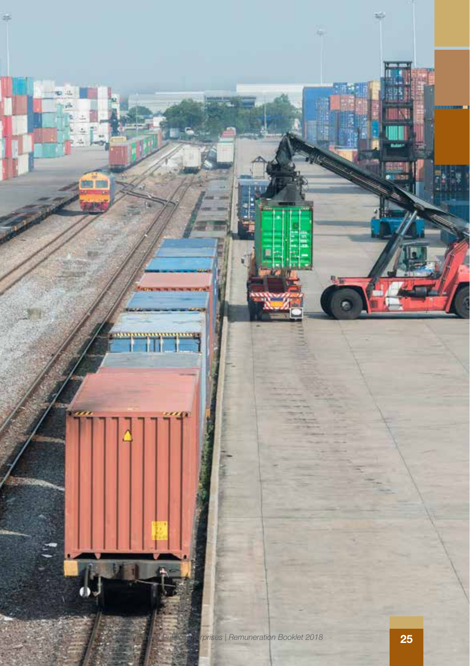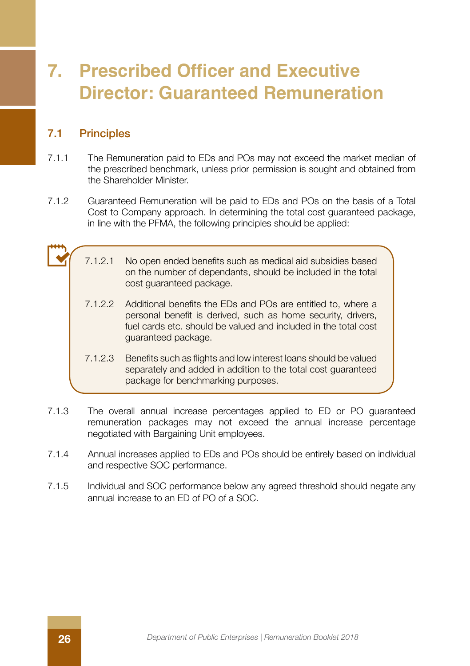## **7. Prescribed Officer and Executive Director: Guaranteed Remuneration**

#### 7.1 Principles

- 7.1.1 The Remuneration paid to EDs and POs may not exceed the market median of the prescribed benchmark, unless prior permission is sought and obtained from the Shareholder Minister.
- 7.1.2 Guaranteed Remuneration will be paid to EDs and POs on the basis of a Total Cost to Company approach. In determining the total cost guaranteed package, in line with the PFMA, the following principles should be applied:
	- 7.1.2.1 No open ended benefits such as medical aid subsidies based on the number of dependants, should be included in the total cost guaranteed package.
	- 7.1.2.2 Additional benefits the EDs and POs are entitled to, where a personal benefit is derived, such as home security, drivers, fuel cards etc. should be valued and included in the total cost guaranteed package.
	- 7.1.2.3 Benefits such as flights and low interest loans should be valued separately and added in addition to the total cost guaranteed package for benchmarking purposes.
- 7.1.3 The overall annual increase percentages applied to ED or PO guaranteed remuneration packages may not exceed the annual increase percentage negotiated with Bargaining Unit employees.
- 7.1.4 Annual increases applied to EDs and POs should be entirely based on individual and respective SOC performance.
- 7.1.5 Individual and SOC performance below any agreed threshold should negate any annual increase to an ED of PO of a SOC.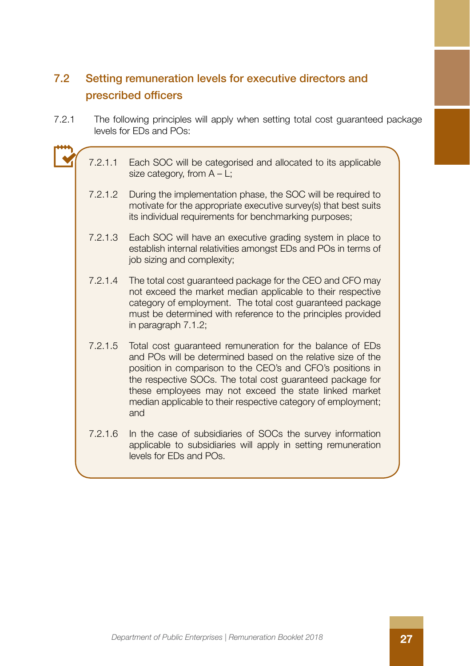#### 7.2 Setting remuneration levels for executive directors and prescribed officers

- 7.2.1 The following principles will apply when setting total cost guaranteed package levels for EDs and POs:
	- 7.2.1.1 Each SOC will be categorised and allocated to its applicable size category, from  $A - L$ ;
		- 7.2.1.2 During the implementation phase, the SOC will be required to motivate for the appropriate executive survey(s) that best suits its individual requirements for benchmarking purposes;
		- 7.2.1.3 Each SOC will have an executive grading system in place to establish internal relativities amongst EDs and POs in terms of job sizing and complexity;
		- 7.2.1.4 The total cost guaranteed package for the CEO and CFO may not exceed the market median applicable to their respective category of employment. The total cost guaranteed package must be determined with reference to the principles provided in paragraph 7.1.2;
		- 7.2.1.5 Total cost guaranteed remuneration for the balance of EDs and POs will be determined based on the relative size of the position in comparison to the CEO's and CFO's positions in the respective SOCs. The total cost guaranteed package for these employees may not exceed the state linked market median applicable to their respective category of employment; and
	- 7.2.1.6 In the case of subsidiaries of SOCs the survey information applicable to subsidiaries will apply in setting remuneration levels for EDs and POs.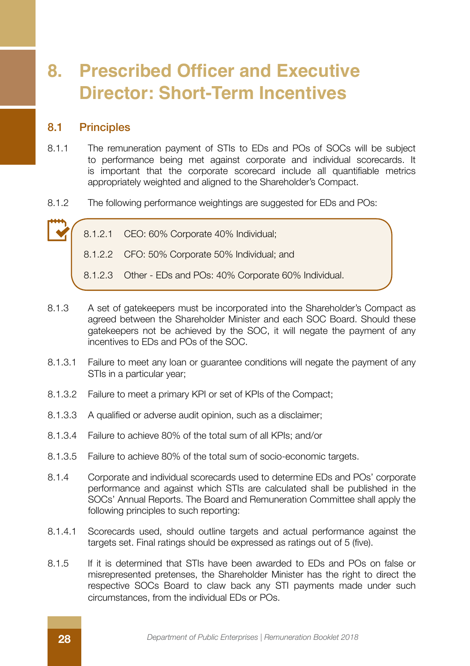### **8. Prescribed Officer and Executive Director: Short-Term Incentives**

#### 8.1 Principles

- 8.1.1 The remuneration payment of STIs to EDs and POs of SOCs will be subject to performance being met against corporate and individual scorecards. It is important that the corporate scorecard include all quantifiable metrics appropriately weighted and aligned to the Shareholder's Compact.
- 8.1.2 The following performance weightings are suggested for EDs and POs:

8.1.2.1 CEO: 60% Corporate 40% Individual; 8.1.2.2 CFO: 50% Corporate 50% Individual; and 8.1.2.3 Other - EDs and POs: 40% Corporate 60% Individual.

- 8.1.3 A set of gatekeepers must be incorporated into the Shareholder's Compact as agreed between the Shareholder Minister and each SOC Board. Should these gatekeepers not be achieved by the SOC, it will negate the payment of any incentives to EDs and POs of the SOC.
- 8.1.3.1 Failure to meet any loan or quarantee conditions will negate the payment of any STIs in a particular year:
- 8.1.3.2 Failure to meet a primary KPI or set of KPIs of the Compact;
- 8.1.3.3 A qualified or adverse audit opinion, such as a disclaimer;
- 8.1.3.4 Failure to achieve 80% of the total sum of all KPIs; and/or
- 8.1.3.5 Failure to achieve 80% of the total sum of socio-economic targets.
- 8.1.4 Corporate and individual scorecards used to determine EDs and POs' corporate performance and against which STIs are calculated shall be published in the SOCs' Annual Reports. The Board and Remuneration Committee shall apply the following principles to such reporting:
- 8.1.4.1 Scorecards used, should outline targets and actual performance against the targets set. Final ratings should be expressed as ratings out of 5 (five).
- 8.1.5 If it is determined that STIs have been awarded to EDs and POs on false or misrepresented pretenses, the Shareholder Minister has the right to direct the respective SOCs Board to claw back any STI payments made under such circumstances, from the individual EDs or POs.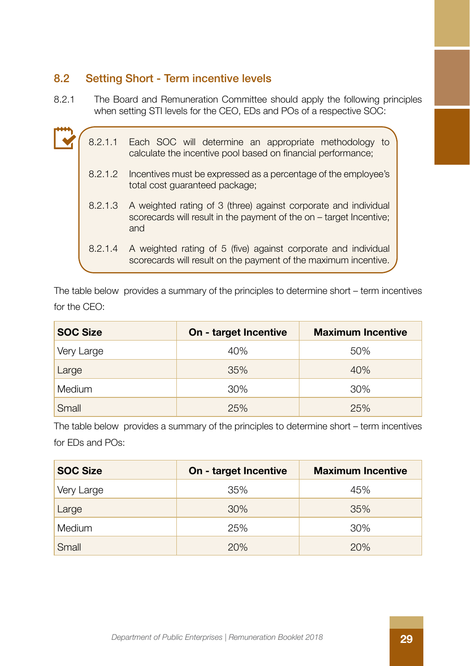#### 8.2 Setting Short - Term incentive levels

8.2.1 The Board and Remuneration Committee should apply the following principles when setting STI levels for the CEO, EDs and POs of a respective SOC:

|         | 8.2.1.1 Each SOC will determine an appropriate methodology to<br>calculate the incentive pool based on financial performance;                         |
|---------|-------------------------------------------------------------------------------------------------------------------------------------------------------|
|         | 8.2.1.2 Incentives must be expressed as a percentage of the employee's<br>total cost quaranteed package;                                              |
|         | 8.2.1.3 A weighted rating of 3 (three) against corporate and individual<br>scorecards will result in the payment of the on - target Incentive;<br>and |
| 8.2.1.4 | A weighted rating of 5 (five) against corporate and individual<br>scorecards will result on the payment of the maximum incentive.                     |

The table below provides a summary of the principles to determine short – term incentives for the CEO:

| <b>SOC Size</b> | On - target Incentive | <b>Maximum Incentive</b> |
|-----------------|-----------------------|--------------------------|
| Very Large      | 40%                   | 50%                      |
| Large           | 35%                   | 40%                      |
| Medium          | 30%                   | 30%                      |
| Small           | 25%                   | 25%                      |

The table below provides a summary of the principles to determine short – term incentives for EDs and POs:

| <b>SOC Size</b> | On - target Incentive | <b>Maximum Incentive</b> |
|-----------------|-----------------------|--------------------------|
| Very Large      | 35%                   | 45%                      |
| Large           | 30%                   | 35%                      |
| <b>Medium</b>   | 25%                   | 30%                      |
| Small           | 20%                   | 20%                      |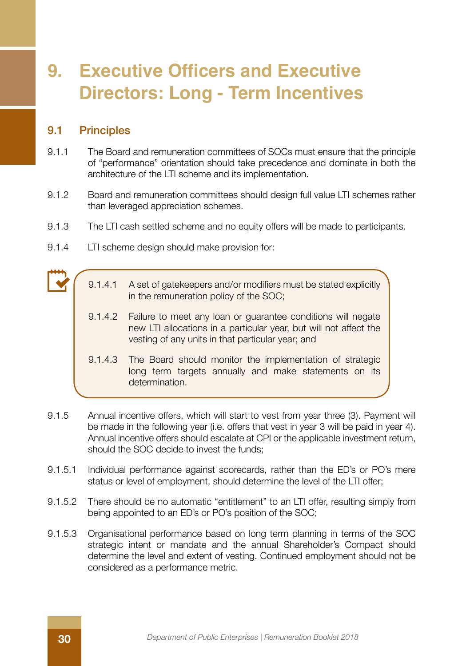## **9. Executive Officers and Executive Directors: Long - Term Incentives**

#### 9.1 Principles

 $\bullet$ 

- 9.1.1 The Board and remuneration committees of SOCs must ensure that the principle of "performance" orientation should take precedence and dominate in both the architecture of the LTI scheme and its implementation.
- 9.1.2 Board and remuneration committees should design full value LTI schemes rather than leveraged appreciation schemes.
- 9.1.3 The LTI cash settled scheme and no equity offers will be made to participants.
- 9.1.4 LTI scheme design should make provision for:
	- 9.1.4.1 A set of gatekeepers and/or modifiers must be stated explicitly in the remuneration policy of the SOC;
		- 9.1.4.2 Failure to meet any loan or guarantee conditions will negate new LTI allocations in a particular year, but will not affect the vesting of any units in that particular year; and
		- 9.1.4.3 The Board should monitor the implementation of strategic long term targets annually and make statements on its determination.
- 9.1.5 Annual incentive offers, which will start to vest from year three (3). Payment will be made in the following year (i.e. offers that vest in year 3 will be paid in year 4). Annual incentive offers should escalate at CPI or the applicable investment return, should the SOC decide to invest the funds;
- 9.1.5.1 Individual performance against scorecards, rather than the ED's or PO's mere status or level of employment, should determine the level of the LTI offer;
- 9.1.5.2 There should be no automatic "entitlement" to an LTI offer, resulting simply from being appointed to an ED's or PO's position of the SOC;
- 9.1.5.3 Organisational performance based on long term planning in terms of the SOC strategic intent or mandate and the annual Shareholder's Compact should determine the level and extent of vesting. Continued employment should not be considered as a performance metric.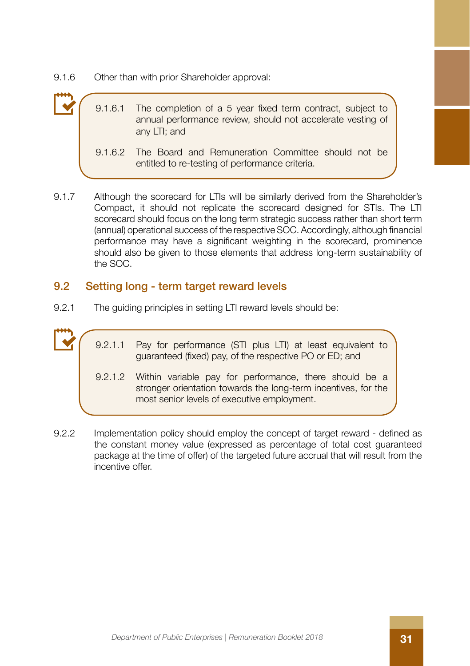9.1.6 Other than with prior Shareholder approval:

| 9.1.6.1 | The completion of a 5 year fixed term contract, subject to<br>annual performance review, should not accelerate vesting of<br>any LTI; and |
|---------|-------------------------------------------------------------------------------------------------------------------------------------------|
|         | 9.1.6.2 The Board and Remuneration Committee should not be<br>entitled to re-testing of performance criteria.                             |

9.1.7 Although the scorecard for LTIs will be similarly derived from the Shareholder's Compact, it should not replicate the scorecard designed for STIs. The LTI scorecard should focus on the long term strategic success rather than short term (annual) operational success of the respective SOC. Accordingly, although financial performance may have a significant weighting in the scorecard, prominence should also be given to those elements that address long-term sustainability of the SOC.

#### 9.2 Setting long - term target reward levels

- 9.2.1 The guiding principles in setting LTI reward levels should be:
	- 9.2.1.1 Pay for performance (STI plus LTI) at least equivalent to guaranteed (fixed) pay, of the respective PO or ED; and
		- 9.2.1.2 Within variable pay for performance, there should be a stronger orientation towards the long-term incentives, for the most senior levels of executive employment.
- 9.2.2 Implementation policy should employ the concept of target reward defined as the constant money value (expressed as percentage of total cost guaranteed package at the time of offer) of the targeted future accrual that will result from the incentive offer.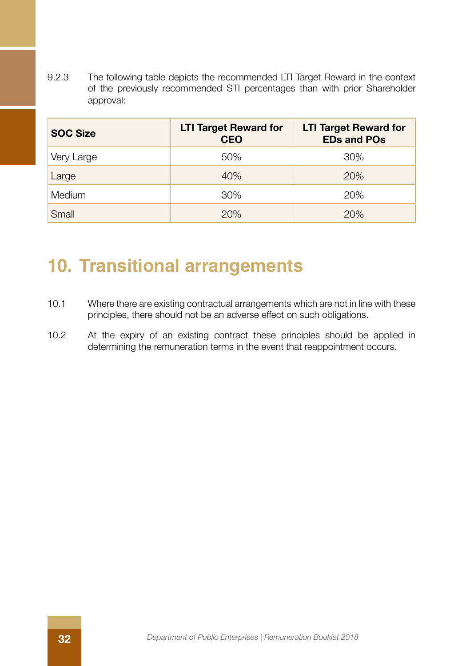9.2.3 The following table depicts the recommended LTI Target Reward in the context of the previously recommended STI percentages than with prior Shareholder approval:

| <b>SOC Size</b> | <b>LTI Target Reward for</b><br><b>CEO</b> | <b>LTI Target Reward for</b><br><b>EDs and POs</b> |
|-----------------|--------------------------------------------|----------------------------------------------------|
| Very Large      | 50%                                        | 30%                                                |
| Large           | 40%                                        | 20%                                                |
| Medium          | 30%                                        | 20%                                                |
| Small           | 20%                                        | 20%                                                |

### **10. Transitional arrangements**

- 10.1 Where there are existing contractual arrangements which are not in line with these principles, there should not be an adverse effect on such obligations.
- 10.2 At the expiry of an existing contract these principles should be applied in determining the remuneration terms in the event that reappointment occurs.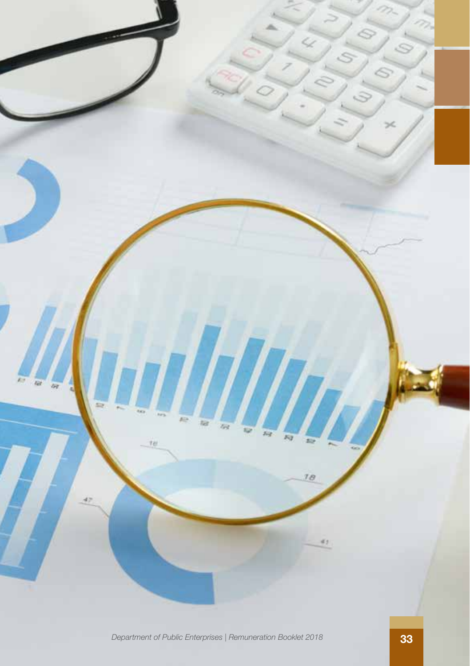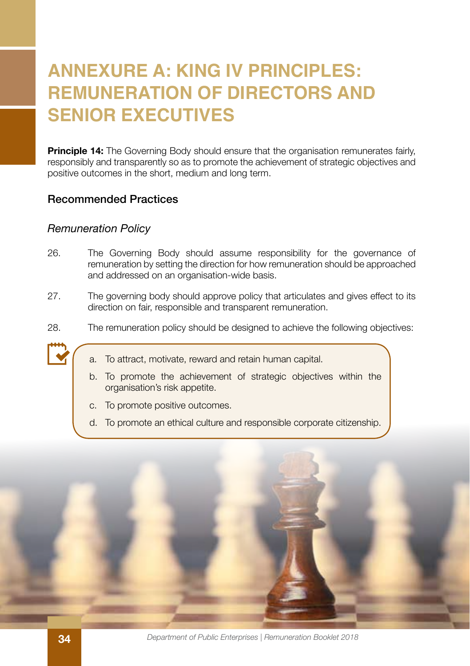## **ANNEXURE A: KING IV PRINCIPLES: REMUNERATION OF DIRECTORS AND SENIOR EXECUTIVES**

**Principle 14:** The Governing Body should ensure that the organisation remunerates fairly, responsibly and transparently so as to promote the achievement of strategic objectives and positive outcomes in the short, medium and long term.

#### Recommended Practices

#### *Remuneration Policy*

- 26. The Governing Body should assume responsibility for the governance of remuneration by setting the direction for how remuneration should be approached and addressed on an organisation-wide basis.
- 27. The governing body should approve policy that articulates and gives effect to its direction on fair, responsible and transparent remuneration.
- 28. The remuneration policy should be designed to achieve the following objectives:
	- a. To attract, motivate, reward and retain human capital.
	- b. To promote the achievement of strategic objectives within the organisation's risk appetite.
	- c. To promote positive outcomes.
	- d. To promote an ethical culture and responsible corporate citizenship.

**A**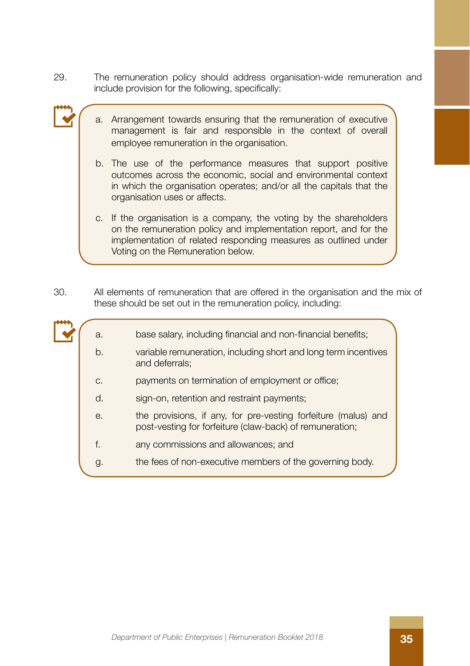- 29. The remuneration policy should address organisation-wide remuneration and include provision for the following, specifically:
	- a. Arrangement towards ensuring that the remuneration of executive management is fair and responsible in the context of overall employee remuneration in the organisation.
		- b. The use of the performance measures that support positive outcomes across the economic, social and environmental context in which the organisation operates; and/or all the capitals that the organisation uses or affects.
		- c. If the organisation is a company, the voting by the shareholders on the remuneration policy and implementation report, and for the implementation of related responding measures as outlined under Voting on the Remuneration below.
- 30. All elements of remuneration that are offered in the organisation and the mix of these should be set out in the remuneration policy, including:

| a. | base salary, including financial and non-financial benefits;                                                               |
|----|----------------------------------------------------------------------------------------------------------------------------|
| b. | variable remuneration, including short and long term incentives<br>and deferrals;                                          |
| C. | payments on termination of employment or office;                                                                           |
| d. | sign-on, retention and restraint payments;                                                                                 |
| е. | the provisions, if any, for pre-vesting forfeiture (malus) and<br>post-vesting for forfeiture (claw-back) of remuneration; |
| f. | any commissions and allowances; and                                                                                        |
| g. | the fees of non-executive members of the governing body.                                                                   |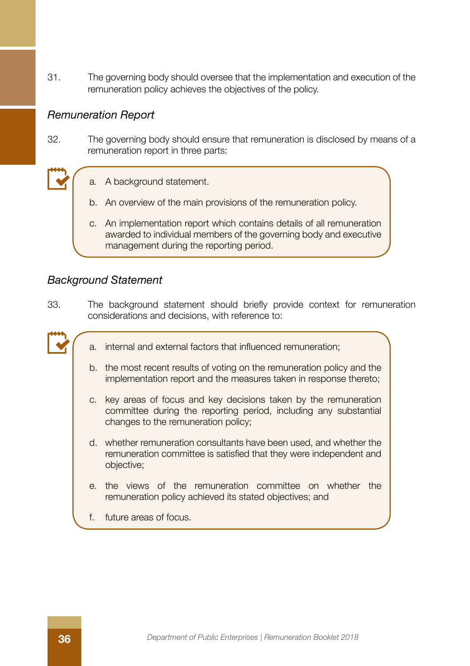31. The governing body should oversee that the implementation and execution of the remuneration policy achieves the objectives of the policy.

#### *Remuneration Report*

32. The governing body should ensure that remuneration is disclosed by means of a remuneration report in three parts:



a. A background statement.

- b. An overview of the main provisions of the remuneration policy.
- c. An implementation report which contains details of all remuneration awarded to individual members of the governing body and executive management during the reporting period.

#### *Background Statement*

33. The background statement should briefly provide context for remuneration considerations and decisions, with reference to:

a. internal and external factors that influenced remuneration;

- b. the most recent results of voting on the remuneration policy and the implementation report and the measures taken in response thereto;
- c. key areas of focus and key decisions taken by the remuneration committee during the reporting period, including any substantial changes to the remuneration policy;
- d. whether remuneration consultants have been used, and whether the remuneration committee is satisfied that they were independent and objective;
- e. the views of the remuneration committee on whether the remuneration policy achieved its stated objectives; and
- f. future areas of focus.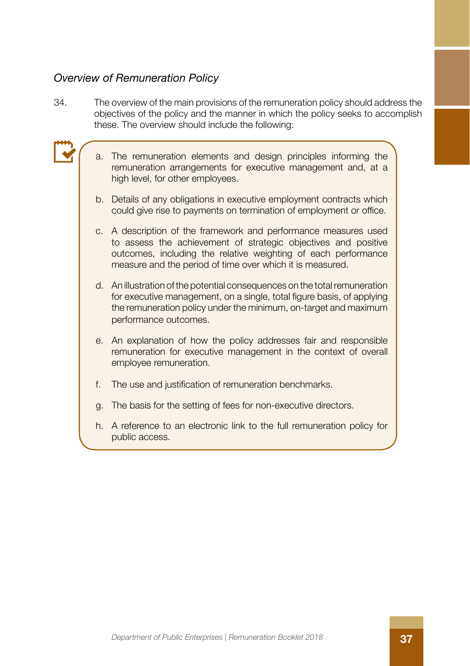#### *Overview of Remuneration Policy*

- 34. The overview of the main provisions of the remuneration policy should address the objectives of the policy and the manner in which the policy seeks to accomplish these. The overview should include the following:
	- a. The remuneration elements and design principles informing the remuneration arrangements for executive management and, at a high level, for other employees.
	- b. Details of any obligations in executive employment contracts which could give rise to payments on termination of employment or office.
	- c. A description of the framework and performance measures used to assess the achievement of strategic objectives and positive outcomes, including the relative weighting of each performance measure and the period of time over which it is measured.
	- d. An illustration of the potential consequences on the total remuneration for executive management, on a single, total figure basis, of applying the remuneration policy under the minimum, on-target and maximum performance outcomes.
	- e. An explanation of how the policy addresses fair and responsible remuneration for executive management in the context of overall employee remuneration.
	- f. The use and justification of remuneration benchmarks.
	- g. The basis for the setting of fees for non-executive directors.
	- h. A reference to an electronic link to the full remuneration policy for public access.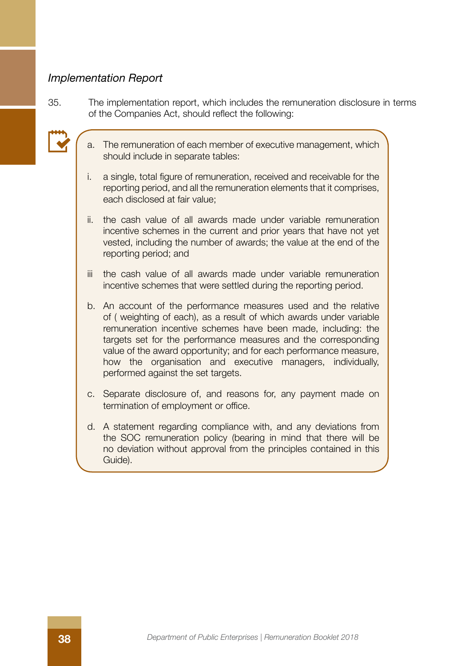#### *Implementation Report*

35. The implementation report, which includes the remuneration disclosure in terms of the Companies Act, should reflect the following:

- a. The remuneration of each member of executive management, which should include in separate tables:
- i. a single, total figure of remuneration, received and receivable for the reporting period, and all the remuneration elements that it comprises, each disclosed at fair value;
- ii. the cash value of all awards made under variable remuneration incentive schemes in the current and prior years that have not yet vested, including the number of awards; the value at the end of the reporting period; and
- iii the cash value of all awards made under variable remuneration incentive schemes that were settled during the reporting period.
- b. An account of the performance measures used and the relative of ( weighting of each), as a result of which awards under variable remuneration incentive schemes have been made, including: the targets set for the performance measures and the corresponding value of the award opportunity; and for each performance measure, how the organisation and executive managers, individually, performed against the set targets.
- c. Separate disclosure of, and reasons for, any payment made on termination of employment or office.
- d. A statement regarding compliance with, and any deviations from the SOC remuneration policy (bearing in mind that there will be no deviation without approval from the principles contained in this Guide).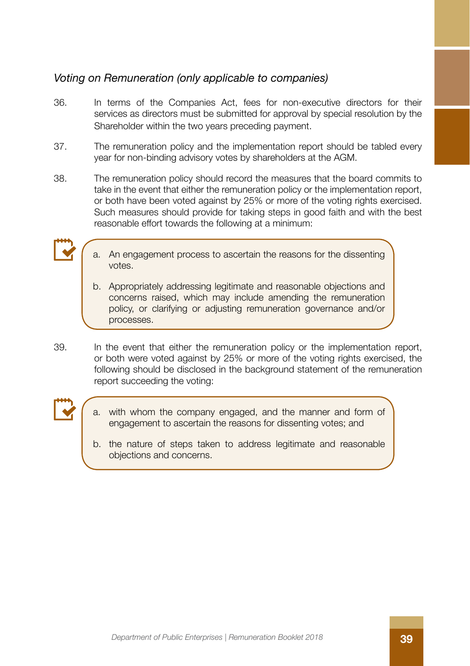#### *Voting on Remuneration (only applicable to companies)*

- 36. In terms of the Companies Act, fees for non-executive directors for their services as directors must be submitted for approval by special resolution by the Shareholder within the two years preceding payment.
- 37. The remuneration policy and the implementation report should be tabled every year for non-binding advisory votes by shareholders at the AGM.
- 38. The remuneration policy should record the measures that the board commits to take in the event that either the remuneration policy or the implementation report, or both have been voted against by 25% or more of the voting rights exercised. Such measures should provide for taking steps in good faith and with the best reasonable effort towards the following at a minimum:
	- a. An engagement process to ascertain the reasons for the dissenting votes.
	- b. Appropriately addressing legitimate and reasonable objections and concerns raised, which may include amending the remuneration policy, or clarifying or adjusting remuneration governance and/or processes.
- 39. In the event that either the remuneration policy or the implementation report, or both were voted against by 25% or more of the voting rights exercised, the following should be disclosed in the background statement of the remuneration report succeeding the voting:
- 
- a. with whom the company engaged, and the manner and form of engagement to ascertain the reasons for dissenting votes; and
- b. the nature of steps taken to address legitimate and reasonable objections and concerns.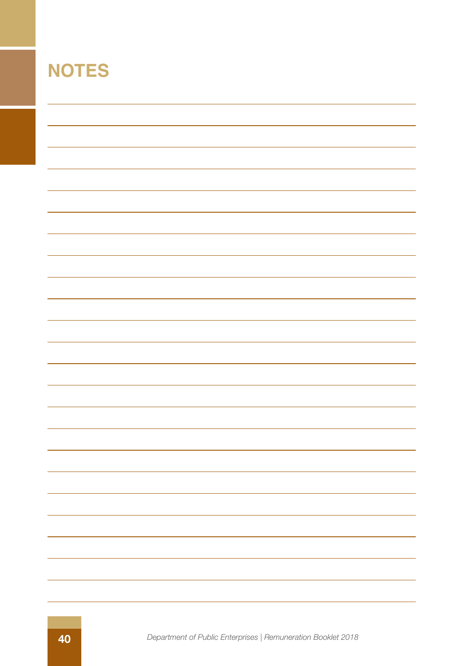## **NOTES**